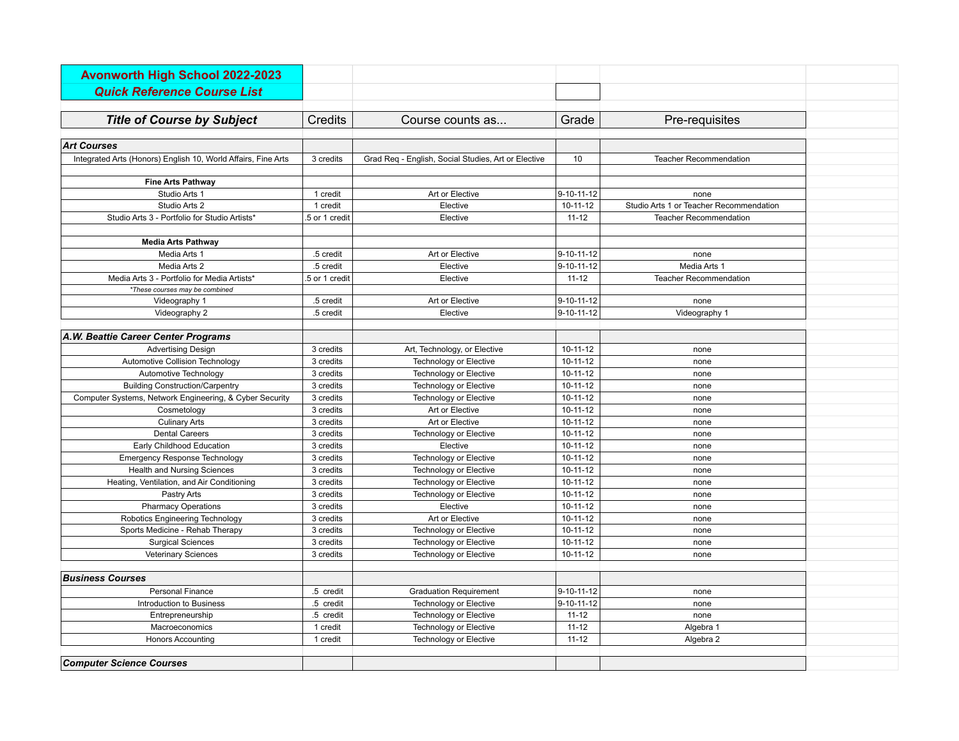| <b>Avonworth High School 2022-2023</b>                        |                |                                                     |                    |                                         |
|---------------------------------------------------------------|----------------|-----------------------------------------------------|--------------------|-----------------------------------------|
| <b>Quick Reference Course List</b>                            |                |                                                     |                    |                                         |
|                                                               |                |                                                     |                    |                                         |
| <b>Title of Course by Subject</b>                             | Credits        | Course counts as                                    | Grade              | Pre-requisites                          |
| <b>Art Courses</b>                                            |                |                                                     |                    |                                         |
| Integrated Arts (Honors) English 10, World Affairs, Fine Arts | 3 credits      | Grad Req - English, Social Studies, Art or Elective | 10                 | <b>Teacher Recommendation</b>           |
|                                                               |                |                                                     |                    |                                         |
| <b>Fine Arts Pathway</b>                                      |                |                                                     |                    |                                         |
| Studio Arts 1                                                 | 1 credit       | Art or Elective                                     | $9 - 10 - 11 - 12$ | none                                    |
| Studio Arts 2                                                 | 1 credit       | Elective                                            | 10-11-12           | Studio Arts 1 or Teacher Recommendation |
| Studio Arts 3 - Portfolio for Studio Artists*                 | .5 or 1 credit | Elective                                            | $11 - 12$          | <b>Teacher Recommendation</b>           |
|                                                               |                |                                                     |                    |                                         |
| <b>Media Arts Pathway</b>                                     |                |                                                     |                    |                                         |
| Media Arts 1                                                  | .5 credit      | Art or Elective                                     | 9-10-11-12         | none                                    |
| Media Arts 2                                                  | .5 credit      | Elective                                            | $9 - 10 - 11 - 12$ | Media Arts 1                            |
| Media Arts 3 - Portfolio for Media Artists*                   | .5 or 1 credit | Elective                                            | $11 - 12$          | <b>Teacher Recommendation</b>           |
| *These courses may be combined                                |                |                                                     |                    |                                         |
| Videography 1                                                 | .5 credit      | Art or Elective                                     | $9 - 10 - 11 - 12$ | none                                    |
| Videography 2                                                 | .5 credit      | Elective                                            | 9-10-11-12         | Videography 1                           |
| A.W. Beattie Career Center Programs                           |                |                                                     |                    |                                         |
| <b>Advertising Design</b>                                     | 3 credits      | Art, Technology, or Elective                        | 10-11-12           | none                                    |
| Automotive Collision Technology                               | 3 credits      | <b>Technology or Elective</b>                       | $10 - 11 - 12$     | none                                    |
| Automotive Technology                                         | 3 credits      | <b>Technology or Elective</b>                       | 10-11-12           | none                                    |
| <b>Building Construction/Carpentry</b>                        | 3 credits      | <b>Technology or Elective</b>                       | 10-11-12           | none                                    |
| Computer Systems, Network Engineering, & Cyber Security       | 3 credits      | <b>Technology or Elective</b>                       | $10 - 11 - 12$     | none                                    |
| Cosmetology                                                   | 3 credits      | Art or Elective                                     | $10 - 11 - 12$     | none                                    |
| <b>Culinary Arts</b>                                          | 3 credits      | Art or Elective                                     | 10-11-12           | none                                    |
| <b>Dental Careers</b>                                         | 3 credits      | Technology or Elective                              | 10-11-12           | none                                    |
| Early Childhood Education                                     | 3 credits      | Elective                                            | $10 - 11 - 12$     | none                                    |
| <b>Emergency Response Technology</b>                          | 3 credits      | <b>Technology or Elective</b>                       | $10-11-12$         | none                                    |
| <b>Health and Nursing Sciences</b>                            | 3 credits      | <b>Technology or Elective</b>                       | $10-11-12$         | none                                    |
| Heating, Ventilation, and Air Conditioning                    | 3 credits      | Technology or Elective                              | 10-11-12           | none                                    |
| Pastry Arts                                                   | 3 credits      | Technology or Elective                              | $10-11-12$         | none                                    |
| <b>Pharmacy Operations</b>                                    | 3 credits      | Elective                                            | $10-11-12$         | none                                    |
| Robotics Engineering Technology                               | 3 credits      | Art or Elective                                     | $10-11-12$         | none                                    |
| Sports Medicine - Rehab Therapy                               | 3 credits      | <b>Technology or Elective</b>                       | $10 - 11 - 12$     | none                                    |
| <b>Surgical Sciences</b>                                      | 3 credits      | <b>Technology or Elective</b>                       | $10 - 11 - 12$     | none                                    |
| <b>Veterinary Sciences</b>                                    | 3 credits      | Technology or Elective                              | $10 - 11 - 12$     | none                                    |
|                                                               |                |                                                     |                    |                                         |
| <b>Business Courses</b>                                       |                |                                                     |                    |                                         |
| <b>Personal Finance</b>                                       | .5 credit      | <b>Graduation Requirement</b>                       | $9 - 10 - 11 - 12$ | none                                    |
| Introduction to Business                                      | .5 credit      | <b>Technology or Elective</b>                       | $9 - 10 - 11 - 12$ | none                                    |
| Entrepreneurship                                              | .5 credit      | <b>Technology or Elective</b>                       | $11 - 12$          | none                                    |
| Macroeconomics                                                | 1 credit       | <b>Technology or Elective</b>                       | $11 - 12$          | Algebra 1                               |
| <b>Honors Accounting</b>                                      | 1 credit       | Technology or Elective                              | $11 - 12$          | Algebra 2                               |
| <b>Computer Science Courses</b>                               |                |                                                     |                    |                                         |
|                                                               |                |                                                     |                    |                                         |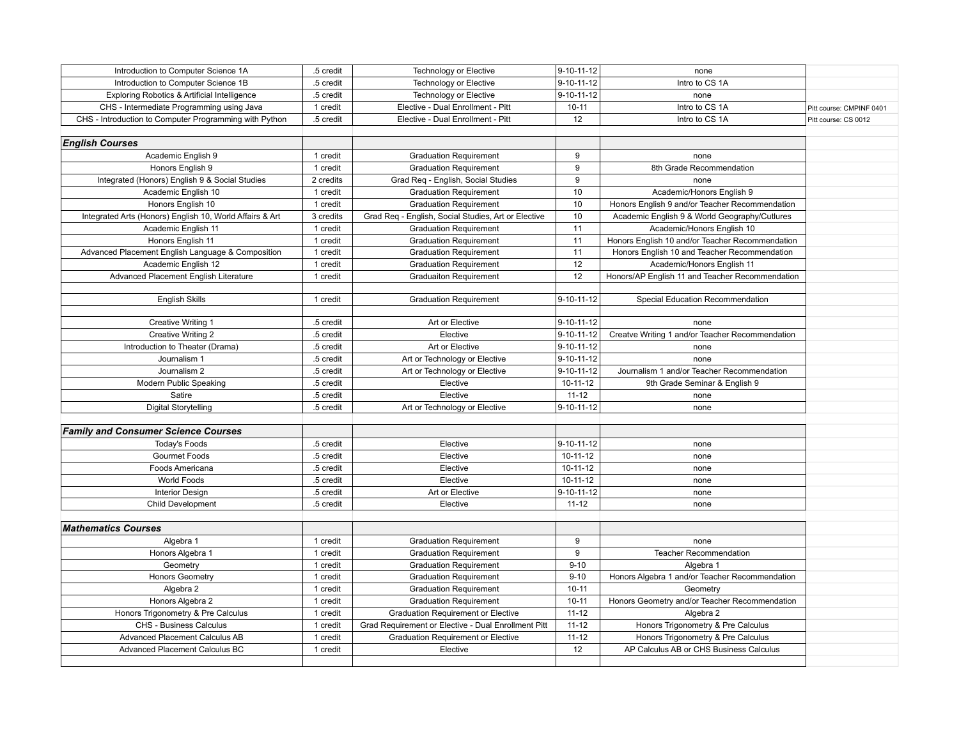| Introduction to Computer Science 1A                      | .5 credit | <b>Technology or Elective</b>                       | 9-10-11-12     | none                                            |                          |
|----------------------------------------------------------|-----------|-----------------------------------------------------|----------------|-------------------------------------------------|--------------------------|
| Introduction to Computer Science 1B                      | .5 credit | <b>Technology or Elective</b>                       | 9-10-11-12     | Intro to CS 1A                                  |                          |
| Exploring Robotics & Artificial Intelligence             | .5 credit | <b>Technology or Elective</b>                       | 9-10-11-12     | none                                            |                          |
| CHS - Intermediate Programming using Java                | 1 credit  | Elective - Dual Enrollment - Pitt                   | $10 - 11$      | Intro to CS 1A                                  | Pitt course: CMPINF 0401 |
| CHS - Introduction to Computer Programming with Python   | .5 credit | Elective - Dual Enrollment - Pitt                   | 12             | Intro to CS 1A                                  | Pitt course: CS 0012     |
|                                                          |           |                                                     |                |                                                 |                          |
| <b>English Courses</b>                                   |           |                                                     |                |                                                 |                          |
| Academic English 9                                       | 1 credit  | <b>Graduation Requirement</b>                       | 9              | none                                            |                          |
| Honors English 9                                         | 1 credit  | <b>Graduation Requirement</b>                       | 9              | 8th Grade Recommendation                        |                          |
| Integrated (Honors) English 9 & Social Studies           | 2 credits | Grad Req - English, Social Studies                  | 9              | none                                            |                          |
| Academic English 10                                      | 1 credit  | <b>Graduation Requirement</b>                       | 10             | Academic/Honors English 9                       |                          |
| Honors English 10                                        | 1 credit  | <b>Graduation Requirement</b>                       | 10             | Honors English 9 and/or Teacher Recommendation  |                          |
| Integrated Arts (Honors) English 10, World Affairs & Art | 3 credits | Grad Req - English, Social Studies, Art or Elective | 10             | Academic English 9 & World Geography/Cutlures   |                          |
| Academic English 11                                      | 1 credit  | <b>Graduation Requirement</b>                       | 11             | Academic/Honors English 10                      |                          |
| Honors English 11                                        | 1 credit  | <b>Graduation Requirement</b>                       | 11             | Honors English 10 and/or Teacher Recommendation |                          |
| Advanced Placement English Language & Composition        | 1 credit  | <b>Graduation Requirement</b>                       | 11             | Honors English 10 and Teacher Recommendation    |                          |
| Academic English 12                                      | 1 credit  | <b>Graduation Requirement</b>                       | 12             | Academic/Honors English 11                      |                          |
| Advanced Placement English Literature                    | 1 credit  | <b>Graduaiton Requirement</b>                       | 12             | Honors/AP English 11 and Teacher Recommendation |                          |
|                                                          |           |                                                     |                |                                                 |                          |
| <b>English Skills</b>                                    | 1 credit  | <b>Graduation Requirement</b>                       | 9-10-11-12     | Special Education Recommendation                |                          |
|                                                          |           |                                                     |                |                                                 |                          |
| Creative Writing 1                                       | .5 credit | Art or Elective                                     | 9-10-11-12     | none                                            |                          |
| <b>Creative Writing 2</b>                                | .5 credit | Elective                                            | 9-10-11-12     | Creatve Writing 1 and/or Teacher Recommendation |                          |
| Introduction to Theater (Drama)                          | .5 credit | Art or Elective                                     | 9-10-11-12     | none                                            |                          |
| Journalism 1                                             | .5 credit | Art or Technology or Elective                       | 9-10-11-12     | none                                            |                          |
| Journalism 2                                             | .5 credit | Art or Technology or Elective                       | 9-10-11-12     | Journalism 1 and/or Teacher Recommendation      |                          |
| Modern Public Speaking                                   | .5 credit | Elective                                            | $10 - 11 - 12$ | 9th Grade Seminar & English 9                   |                          |
| Satire                                                   | .5 credit | Elective                                            | $11 - 12$      | none                                            |                          |
| <b>Digital Storytelling</b>                              | .5 credit | Art or Technology or Elective                       | 9-10-11-12     | none                                            |                          |
|                                                          |           |                                                     |                |                                                 |                          |
| <b>Family and Consumer Science Courses</b>               |           |                                                     |                |                                                 |                          |
| <b>Today's Foods</b>                                     | .5 credit | Elective                                            | 9-10-11-12     | none                                            |                          |
| Gourmet Foods                                            | .5 credit | Elective                                            | 10-11-12       | none                                            |                          |
| Foods Americana                                          | .5 credit | Elective                                            | 10-11-12       | none                                            |                          |
| World Foods                                              | .5 credit | Elective                                            | $10 - 11 - 12$ | none                                            |                          |
| <b>Interior Design</b>                                   | .5 credit | Art or Elective                                     | 9-10-11-12     | none                                            |                          |
| Child Development                                        | .5 credit | Elective                                            | $11 - 12$      | none                                            |                          |
|                                                          |           |                                                     |                |                                                 |                          |
| <b>Mathematics Courses</b>                               |           |                                                     |                |                                                 |                          |
| Algebra 1                                                | 1 credit  | <b>Graduation Requirement</b>                       | 9              | none                                            |                          |
| Honors Algebra 1                                         | 1 credit  | <b>Graduation Requirement</b>                       | 9              | <b>Teacher Recommendation</b>                   |                          |
| Geometry                                                 | 1 credit  | <b>Graduation Requirement</b>                       | $9 - 10$       | Algebra 1                                       |                          |
| Honors Geometry                                          | 1 credit  | <b>Graduation Requirement</b>                       | $9 - 10$       | Honors Algebra 1 and/or Teacher Recommendation  |                          |
| Algebra 2                                                | 1 credit  | <b>Graduation Requirement</b>                       | $10 - 11$      | Geometry                                        |                          |
| Honors Algebra 2                                         | 1 credit  | <b>Graduation Requirement</b>                       | $10 - 11$      | Honors Geometry and/or Teacher Recommendation   |                          |
| Honors Trigonometry & Pre Calculus                       | 1 credit  | <b>Graduation Requirement or Elective</b>           | $11 - 12$      | Algebra 2                                       |                          |
| CHS - Business Calculus                                  | 1 credit  | Grad Requirement or Elective - Dual Enrollment Pitt | $11 - 12$      | Honors Trigonometry & Pre Calculus              |                          |
| Advanced Placement Calculus AB                           | 1 credit  | <b>Graduation Requirement or Elective</b>           | $11 - 12$      | Honors Trigonometry & Pre Calculus              |                          |
| Advanced Placement Calculus BC                           | 1 credit  | Elective                                            | 12             | AP Calculus AB or CHS Business Calculus         |                          |
|                                                          |           |                                                     |                |                                                 |                          |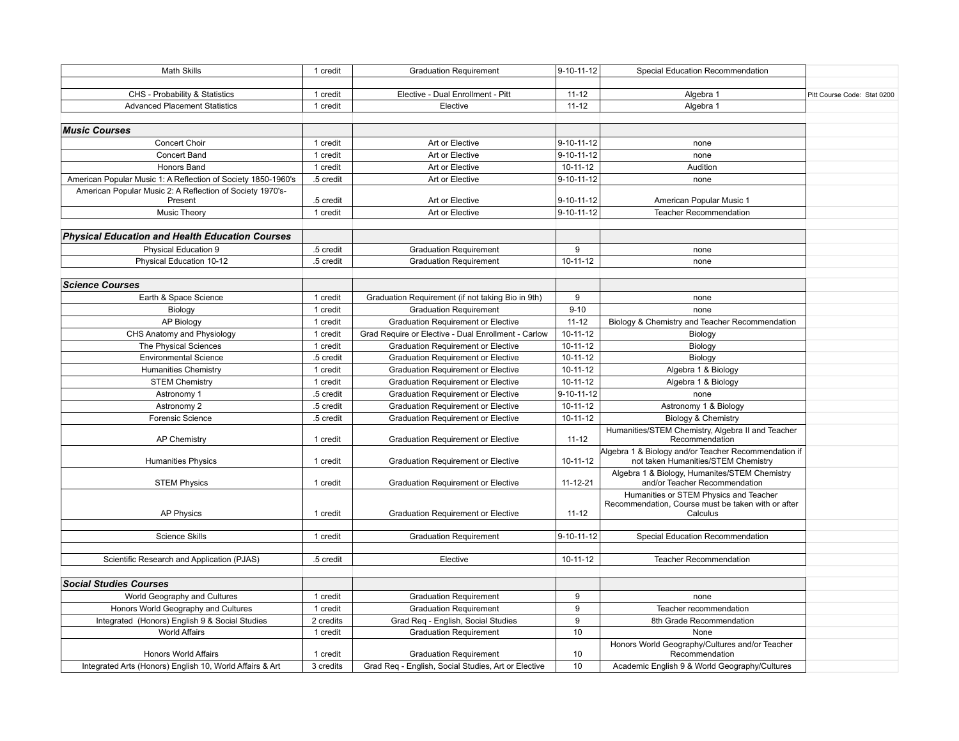| <b>Math Skills</b>                                                   | 1 credit  | <b>Graduation Requirement</b>                       | 9-10-11-12     | Special Education Recommendation                                                                         |                             |
|----------------------------------------------------------------------|-----------|-----------------------------------------------------|----------------|----------------------------------------------------------------------------------------------------------|-----------------------------|
|                                                                      |           |                                                     |                |                                                                                                          |                             |
| CHS - Probability & Statistics                                       | 1 credit  | Elective - Dual Enrollment - Pitt                   | $11 - 12$      | Algebra 1                                                                                                | Pitt Course Code: Stat 0200 |
| <b>Advanced Placement Statistics</b>                                 | 1 credit  | Elective                                            | $11 - 12$      | Algebra 1                                                                                                |                             |
| <b>Music Courses</b>                                                 |           |                                                     |                |                                                                                                          |                             |
| Concert Choir                                                        | 1 credit  | Art or Elective                                     | 9-10-11-12     | none                                                                                                     |                             |
| <b>Concert Band</b>                                                  | 1 credit  | Art or Elective                                     | 9-10-11-12     | none                                                                                                     |                             |
| <b>Honors Band</b>                                                   | 1 credit  | Art or Elective                                     | $10-11-12$     | Audition                                                                                                 |                             |
| American Popular Music 1: A Reflection of Society 1850-1960's        | .5 credit | Art or Elective                                     | 9-10-11-12     | none                                                                                                     |                             |
| American Popular Music 2: A Reflection of Society 1970's-<br>Present | .5 credit | Art or Elective                                     | 9-10-11-12     | American Popular Music 1                                                                                 |                             |
| <b>Music Theory</b>                                                  | 1 credit  | Art or Elective                                     | 9-10-11-12     | <b>Teacher Recommendation</b>                                                                            |                             |
|                                                                      |           |                                                     |                |                                                                                                          |                             |
| <b>Physical Education and Health Education Courses</b>               |           |                                                     |                |                                                                                                          |                             |
| <b>Physical Education 9</b>                                          | .5 credit | <b>Graduation Requirement</b>                       | 9              | none                                                                                                     |                             |
| Physical Education 10-12                                             | .5 credit | <b>Graduation Requirement</b>                       | $10-11-12$     | none                                                                                                     |                             |
| <b>Science Courses</b>                                               |           |                                                     |                |                                                                                                          |                             |
| Earth & Space Science                                                | 1 credit  | Graduation Requirement (if not taking Bio in 9th)   | 9              | none                                                                                                     |                             |
| Biology                                                              | 1 credit  | <b>Graduation Requirement</b>                       | $9 - 10$       | none                                                                                                     |                             |
| <b>AP Biology</b>                                                    | 1 credit  | <b>Graduation Requirement or Elective</b>           | $11 - 12$      | Biology & Chemistry and Teacher Recommendation                                                           |                             |
| CHS Anatomy and Physiology                                           | 1 credit  | Grad Require or Elective - Dual Enrollment - Carlow | $10 - 11 - 12$ | Biology                                                                                                  |                             |
| The Physical Sciences                                                | 1 credit  | <b>Graduation Requirement or Elective</b>           | $10 - 11 - 12$ | Biology                                                                                                  |                             |
| <b>Environmental Science</b>                                         | .5 credit | <b>Graduation Requirement or Elective</b>           | 10-11-12       | Biology                                                                                                  |                             |
| <b>Humanities Chemistry</b>                                          | 1 credit  | Graduation Requirement or Elective                  | 10-11-12       | Algebra 1 & Biology                                                                                      |                             |
| <b>STEM Chemistry</b>                                                | 1 credit  | <b>Graduation Requirement or Elective</b>           | 10-11-12       | Algebra 1 & Biology                                                                                      |                             |
| Astronomy 1                                                          | .5 credit | <b>Graduation Requirement or Elective</b>           | 9-10-11-12     | none                                                                                                     |                             |
| Astronomy 2                                                          | .5 credit | <b>Graduation Requirement or Elective</b>           | $10 - 11 - 12$ | Astronomy 1 & Biology                                                                                    |                             |
| Forensic Science                                                     | .5 credit | <b>Graduation Requirement or Elective</b>           | $10-11-12$     | Biology & Chemistry                                                                                      |                             |
| <b>AP Chemistry</b>                                                  | 1 credit  | <b>Graduation Requirement or Elective</b>           | $11 - 12$      | Humanities/STEM Chemistry, Algebra II and Teacher<br>Recommendation                                      |                             |
| <b>Humanities Physics</b>                                            | 1 credit  | <b>Graduation Requirement or Elective</b>           | 10-11-12       | Algebra 1 & Biology and/or Teacher Recommendation if<br>not taken Humanities/STEM Chemistry              |                             |
| <b>STEM Physics</b>                                                  | 1 credit  | <b>Graduation Requirement or Elective</b>           | 11-12-21       | Algebra 1 & Biology, Humanites/STEM Chemistry<br>and/or Teacher Recommendation                           |                             |
| <b>AP Physics</b>                                                    | 1 credit  | <b>Graduation Requirement or Elective</b>           | $11 - 12$      | Humanities or STEM Physics and Teacher<br>Recommendation, Course must be taken with or after<br>Calculus |                             |
|                                                                      |           |                                                     |                |                                                                                                          |                             |
| <b>Science Skills</b>                                                | 1 credit  | <b>Graduation Requirement</b>                       | 9-10-11-12     | Special Education Recommendation                                                                         |                             |
| Scientific Research and Application (PJAS)                           | .5 credit | Elective                                            | $10 - 11 - 12$ | <b>Teacher Recommendation</b>                                                                            |                             |
| <b>Social Studies Courses</b>                                        |           |                                                     |                |                                                                                                          |                             |
| World Geography and Cultures                                         | 1 credit  | <b>Graduation Requirement</b>                       | 9              | none                                                                                                     |                             |
| Honors World Geography and Cultures                                  | 1 credit  | <b>Graduation Requirement</b>                       | 9              | Teacher recommendation                                                                                   |                             |
| Integrated (Honors) English 9 & Social Studies                       | 2 credits | Grad Reg - English, Social Studies                  | 9              | 8th Grade Recommendation                                                                                 |                             |
| <b>World Affairs</b>                                                 | 1 credit  | <b>Graduation Requirement</b>                       | 10             | None                                                                                                     |                             |
| <b>Honors World Affairs</b>                                          | 1 credit  | <b>Graduation Requirement</b>                       | 10             | Honors World Geography/Cultures and/or Teacher<br>Recommendation                                         |                             |
| Integrated Arts (Honors) English 10, World Affairs & Art             | 3 credits | Grad Reg - English, Social Studies, Art or Elective | 10             | Academic English 9 & World Geography/Cultures                                                            |                             |
|                                                                      |           |                                                     |                |                                                                                                          |                             |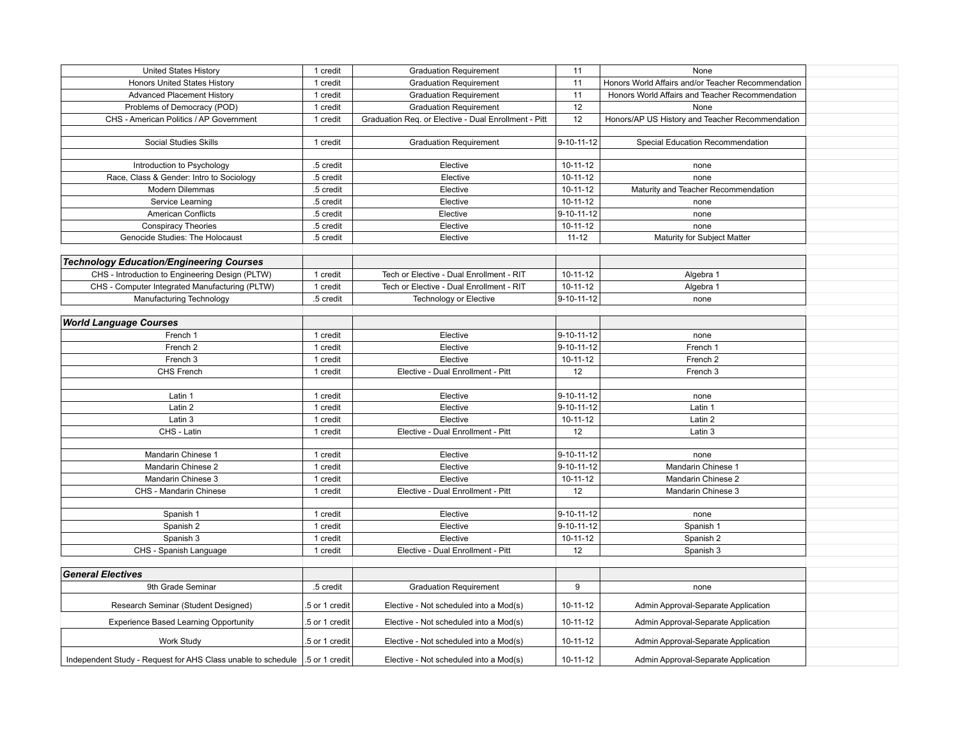| <b>United States History</b>                                                 | 1 credit       | <b>Graduation Requirement</b>                        | 11                 | None                                               |  |
|------------------------------------------------------------------------------|----------------|------------------------------------------------------|--------------------|----------------------------------------------------|--|
| Honors United States History                                                 | 1 credit       | <b>Graduation Requirement</b>                        | 11                 | Honors World Affairs and/or Teacher Recommendation |  |
| <b>Advanced Placement History</b>                                            | 1 credit       | <b>Graduation Requirement</b>                        | 11                 | Honors World Affairs and Teacher Recommendation    |  |
| Problems of Democracy (POD)                                                  | 1 credit       | <b>Graduation Requirement</b>                        | 12                 | None                                               |  |
| CHS - American Politics / AP Government                                      | 1 credit       | Graduation Reg. or Elective - Dual Enrollment - Pitt | 12                 | Honors/AP US History and Teacher Recommendation    |  |
|                                                                              |                |                                                      |                    |                                                    |  |
| Social Studies Skills                                                        | 1 credit       | <b>Graduation Requirement</b>                        | 9-10-11-12         | Special Education Recommendation                   |  |
|                                                                              |                |                                                      |                    |                                                    |  |
| Introduction to Psychology                                                   | .5 credit      | Elective                                             | $10-11-12$         | none                                               |  |
| Race, Class & Gender: Intro to Sociology                                     | .5 credit      | Elective                                             | $10 - 11 - 12$     | none                                               |  |
| Modern Dilemmas                                                              | .5 credit      | Elective                                             | $10 - 11 - 12$     | Maturity and Teacher Recommendation                |  |
| Service Learning                                                             | .5 credit      | Elective                                             | $10-11-12$         | none                                               |  |
| American Conflicts                                                           | .5 credit      | Elective                                             | $9 - 10 - 11 - 12$ | none                                               |  |
| <b>Conspiracy Theories</b>                                                   | .5 credit      | Elective                                             | $10 - 11 - 12$     | none                                               |  |
| Genocide Studies: The Holocaust                                              | .5 credit      | Elective                                             | $11 - 12$          | Maturity for Subject Matter                        |  |
|                                                                              |                |                                                      |                    |                                                    |  |
| <b>Technology Education/Engineering Courses</b>                              |                |                                                      |                    |                                                    |  |
| CHS - Introduction to Engineering Design (PLTW)                              | 1 credit       | Tech or Elective - Dual Enrollment - RIT             | $10-11-12$         | Algebra 1                                          |  |
| CHS - Computer Integrated Manufacturing (PLTW)                               | 1 credit       | Tech or Elective - Dual Enrollment - RIT             | $10 - 11 - 12$     | Algebra 1                                          |  |
| Manufacturing Technology                                                     | .5 credit      | Technology or Elective                               | 9-10-11-12         | none                                               |  |
|                                                                              |                |                                                      |                    |                                                    |  |
| <b>World Language Courses</b>                                                |                |                                                      |                    |                                                    |  |
| French 1                                                                     | 1 credit       | Elective                                             | $9 - 10 - 11 - 12$ | none                                               |  |
| French <sub>2</sub>                                                          | 1 credit       | Elective                                             | 9-10-11-12         | French 1                                           |  |
| French 3                                                                     | 1 credit       | Elective                                             | $10 - 11 - 12$     | French <sub>2</sub>                                |  |
| CHS French                                                                   | 1 credit       | Elective - Dual Enrollment - Pitt                    | 12                 | French 3                                           |  |
|                                                                              |                |                                                      |                    |                                                    |  |
| Latin 1                                                                      | 1 credit       | Elective                                             | 9-10-11-12         | none                                               |  |
| Latin 2                                                                      | 1 credit       | Elective                                             | $9 - 10 - 11 - 12$ | Latin 1                                            |  |
|                                                                              |                |                                                      |                    |                                                    |  |
| Latin 3<br>CHS - Latin                                                       | 1 credit       | Elective<br>Elective - Dual Enrollment - Pitt        | 10-11-12           | Latin 2                                            |  |
|                                                                              | 1 credit       |                                                      | 12                 | Latin 3                                            |  |
| Mandarin Chinese 1                                                           | 1 credit       | Elective                                             | $9 - 10 - 11 - 12$ |                                                    |  |
|                                                                              |                |                                                      | 9-10-11-12         | none                                               |  |
| Mandarin Chinese 2                                                           | 1 credit       | Elective                                             |                    | Mandarin Chinese 1                                 |  |
| Mandarin Chinese 3                                                           | 1 credit       | Elective                                             | $10 - 11 - 12$     | Mandarin Chinese 2                                 |  |
| CHS - Mandarin Chinese                                                       | 1 credit       | Elective - Dual Enrollment - Pitt                    | 12                 | Mandarin Chinese 3                                 |  |
|                                                                              |                | Elective                                             |                    |                                                    |  |
| Spanish 1<br>Spanish 2                                                       | 1 credit       | Elective                                             | $9 - 10 - 11 - 12$ | none                                               |  |
|                                                                              | 1 credit       |                                                      | $9 - 10 - 11 - 12$ | Spanish 1                                          |  |
| Spanish 3                                                                    | 1 credit       | Elective                                             | $10 - 11 - 12$     | Spanish 2                                          |  |
| CHS - Spanish Language                                                       | 1 credit       | Elective - Dual Enrollment - Pitt                    | 12                 | Spanish 3                                          |  |
|                                                                              |                |                                                      |                    |                                                    |  |
| <b>General Electives</b>                                                     |                |                                                      |                    |                                                    |  |
| 9th Grade Seminar                                                            | .5 credit      | <b>Graduation Requirement</b>                        | 9                  | none                                               |  |
| Research Seminar (Student Designed)                                          | 5 or 1 credit  | Elective - Not scheduled into a Mod(s)               | 10-11-12           | Admin Approval-Separate Application                |  |
|                                                                              |                |                                                      | 10-11-12           |                                                    |  |
| <b>Experience Based Learning Opportunity</b>                                 | .5 or 1 credit | Elective - Not scheduled into a Mod(s)               |                    | Admin Approval-Separate Application                |  |
| Work Study                                                                   | .5 or 1 credit | Elective - Not scheduled into a Mod(s)               | 10-11-12           | Admin Approval-Separate Application                |  |
| Independent Study - Request for AHS Class unable to schedule 1.5 or 1 credit |                | Elective - Not scheduled into a Mod(s)               | $10 - 11 - 12$     | Admin Approval-Separate Application                |  |
|                                                                              |                |                                                      |                    |                                                    |  |